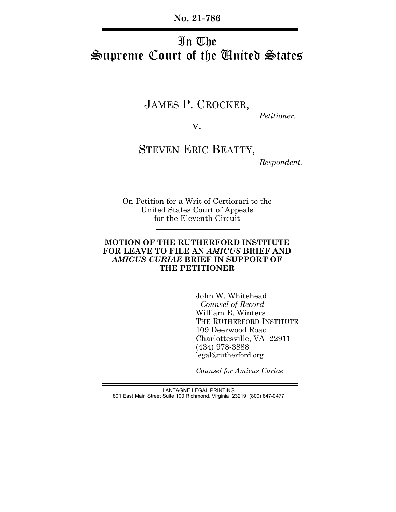**No. 21-786**

# In The Supreme Court of the United States

JAMES P. CROCKER, *Petitioner,*

v.

STEVEN ERIC BEATTY,

*Respondent.*

On Petition for a Writ of Certiorari to the United States Court of Appeals for the Eleventh Circuit

## **MOTION OF THE RUTHERFORD INSTITUTE FOR LEAVE TO FILE AN** *AMICUS* **BRIEF AND** *AMICUS CURIAE* **BRIEF IN SUPPORT OF THE PETITIONER**

John W. Whitehead  *Counsel of Record* William E. Winters THE RUTHERFORD INSTITUTE 109 Deerwood Road Charlottesville, VA 22911 (434) 978-3888 legal@rutherford.org

*Counsel for Amicus Curiae*

LANTAGNE LEGAL PRINTING 801 East Main Street Suite 100 Richmond, Virginia 23219 (800) 847-0477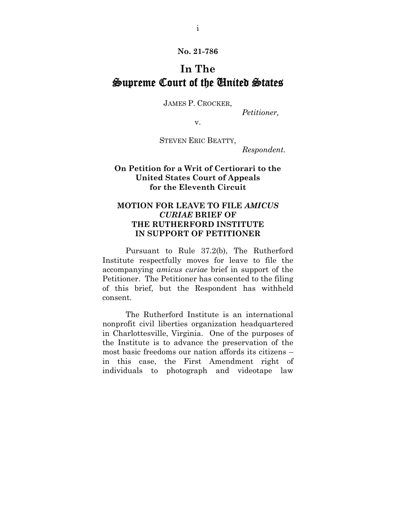**No. 21-786** 

## **In The**  Supreme Court of the United States

JAMES P. CROCKER,

*Petitioner,* 

v.

STEVEN ERIC BEATTY,

*Respondent.*

## **On Petition for a Writ of Certiorari to the United States Court of Appeals for the Eleventh Circuit**

## **MOTION FOR LEAVE TO FILE** *AMICUS CURIAE* **BRIEF OF THE RUTHERFORD INSTITUTE IN SUPPORT OF PETITIONER**

Pursuant to Rule 37.2(b), The Rutherford Institute respectfully moves for leave to file the accompanying *amicus curiae* brief in support of the Petitioner. The Petitioner has consented to the filing of this brief, but the Respondent has withheld consent.

The Rutherford Institute is an international nonprofit civil liberties organization headquartered in Charlottesville, Virginia. One of the purposes of the Institute is to advance the preservation of the most basic freedoms our nation affords its citizens – in this case, the First Amendment right of individuals to photograph and videotape law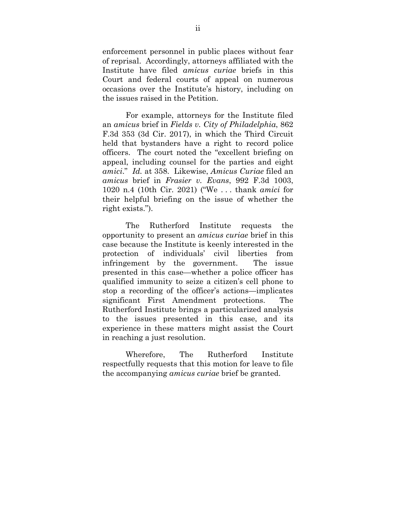enforcement personnel in public places without fear of reprisal. Accordingly, attorneys affiliated with the Institute have filed *amicus curiae* briefs in this Court and federal courts of appeal on numerous occasions over the Institute's history, including on the issues raised in the Petition.

For example, attorneys for the Institute filed an *amicus* brief in *Fields v. City of Philadelphia*, 862 F.3d 353 (3d Cir. 2017), in which the Third Circuit held that bystanders have a right to record police officers. The court noted the "excellent briefing on appeal, including counsel for the parties and eight *amici*." *Id.* at 358. Likewise, *Amicus Curiae* filed an *amicus* brief in *Frasier v. Evans*, 992 F.3d 1003, 1020 n.4 (10th Cir. 2021) ("We . . . thank *amici* for their helpful briefing on the issue of whether the right exists.").

The Rutherford Institute requests the opportunity to present an *amicus curiae* brief in this case because the Institute is keenly interested in the protection of individuals' civil liberties from infringement by the government. The issue presented in this case—whether a police officer has qualified immunity to seize a citizen's cell phone to stop a recording of the officer's actions—implicates significant First Amendment protections. The Rutherford Institute brings a particularized analysis to the issues presented in this case, and its experience in these matters might assist the Court in reaching a just resolution.

Wherefore, The Rutherford Institute respectfully requests that this motion for leave to file the accompanying *amicus curiae* brief be granted.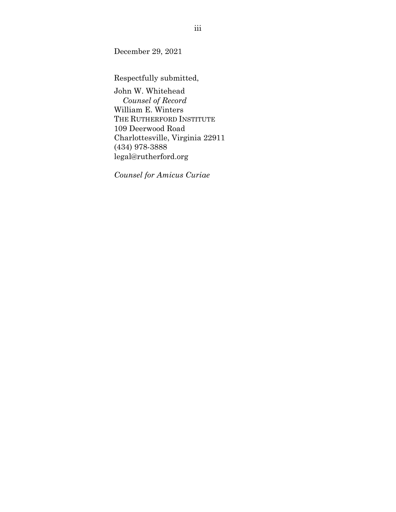December 29, 2021

Respectfully submitted,

John W. Whitehead  *Counsel of Record*  William E. Winters THE RUTHERFORD INSTITUTE 109 Deerwood Road Charlottesville, Virginia 22911 (434) 978-3888 legal@rutherford.org

*Counsel for Amicus Curiae*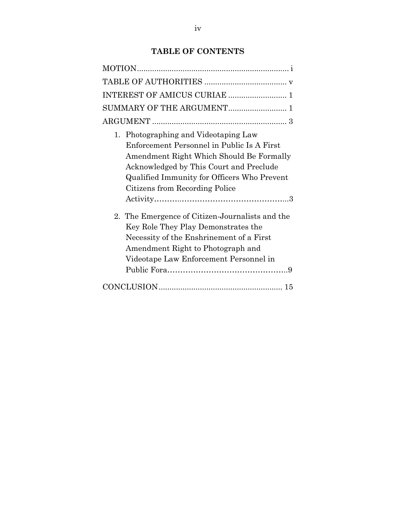## **TABLE OF CONTENTS**

| 1. Photographing and Videotaping Law<br>Enforcement Personnel in Public Is A First<br>Amendment Right Which Should Be Formally<br>Acknowledged by This Court and Preclude<br>Qualified Immunity for Officers Who Prevent<br>Citizens from Recording Police |
|------------------------------------------------------------------------------------------------------------------------------------------------------------------------------------------------------------------------------------------------------------|
| 2. The Emergence of Citizen-Journalists and the<br>Key Role They Play Demonstrates the<br>Necessity of the Enshrinement of a First<br>Amendment Right to Photograph and<br>Videotape Law Enforcement Personnel in                                          |
|                                                                                                                                                                                                                                                            |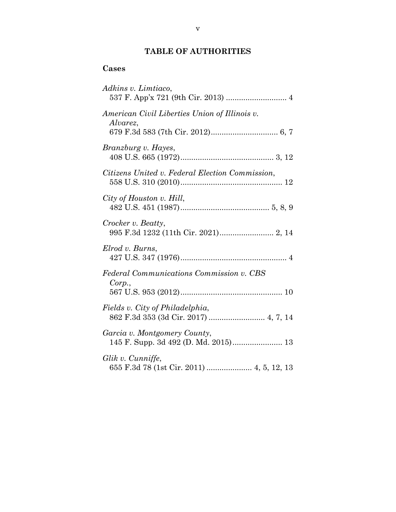## **TABLE OF AUTHORITIES**

## **Cases**

| Adkins v. Limtiaco,                                                      |
|--------------------------------------------------------------------------|
| American Civil Liberties Union of Illinois v.<br>Alvarez,                |
| Branzburg v. Hayes,                                                      |
| Citizens United v. Federal Election Commission,                          |
| City of Houston v. Hill,                                                 |
| Crocker v. Beatty,                                                       |
| Elrod v. Burns,                                                          |
| <b>Federal Communications Commission v. CBS</b><br>Corp.,                |
| Fields v. City of Philadelphia,<br>862 F.3d 353 (3d Cir. 2017)  4, 7, 14 |
| Garcia v. Montgomery County,                                             |
| Glik v. Cunniffe,<br>655 F.3d 78 (1st Cir. 2011)  4, 5, 12, 13           |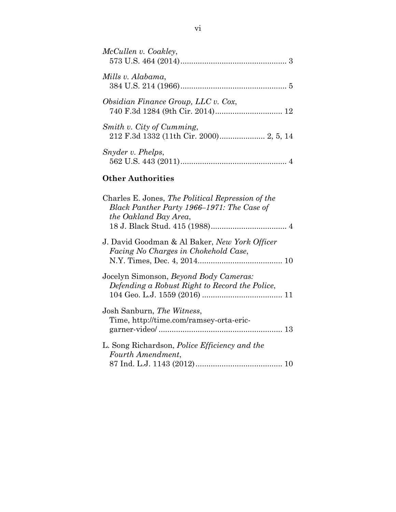| McCullen v. Coakley,                                                                                                     |
|--------------------------------------------------------------------------------------------------------------------------|
| Mills v. Alabama,                                                                                                        |
| Obsidian Finance Group, LLC v. Cox,                                                                                      |
| Smith v. City of Cumming,                                                                                                |
| Snyder v. Phelps,                                                                                                        |
| <b>Other Authorities</b>                                                                                                 |
| Charles E. Jones, The Political Repression of the<br>Black Panther Party 1966–1971: The Case of<br>the Oakland Bay Area, |
| J. David Goodman & Al Baker, New York Officer<br>Facing No Charges in Chokehold Case,                                    |
| Jocelyn Simonson, Beyond Body Cameras:<br>Defending a Robust Right to Record the Police,                                 |
| Josh Sanburn, The Witness,<br>Time, http://time.com/ramsey-orta-eric-                                                    |
| L. Song Richardson, <i>Police Efficiency and the</i><br>Fourth Amendment,                                                |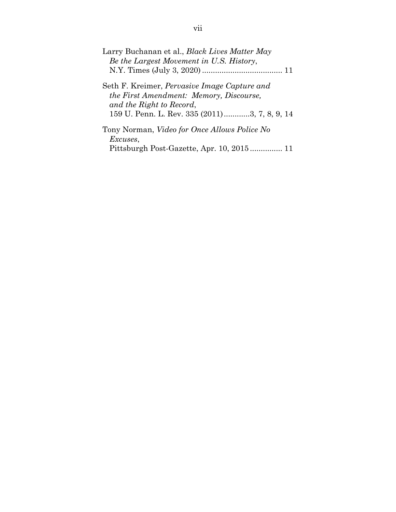| Larry Buchanan et al., <i>Black Lives Matter May</i> |
|------------------------------------------------------|
| Be the Largest Movement in U.S. History,             |
|                                                      |
| Seth F. Kreimer, <i>Pervasive Image Capture and</i>  |
| the First Amendment: Memory, Discourse,              |
| and the Right to Record,                             |
| 159 U. Penn. L. Rev. 335 (2011)3, 7, 8, 9, 14        |
| Tony Norman, <i>Video for Once Allows Police No</i>  |
| <i>Excuses,</i>                                      |
|                                                      |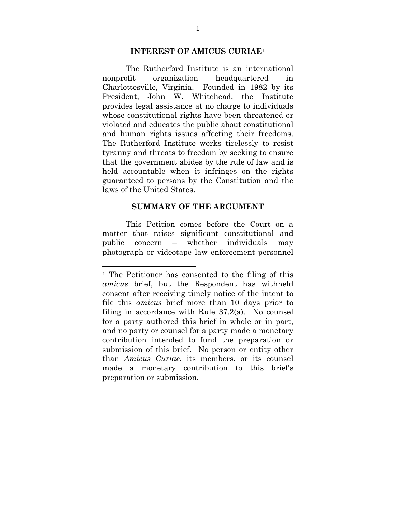### **INTEREST OF AMICUS CURIAE1**

The Rutherford Institute is an international nonprofit organization headquartered in Charlottesville, Virginia. Founded in 1982 by its President, John W. Whitehead, the Institute provides legal assistance at no charge to individuals whose constitutional rights have been threatened or violated and educates the public about constitutional and human rights issues affecting their freedoms. The Rutherford Institute works tirelessly to resist tyranny and threats to freedom by seeking to ensure that the government abides by the rule of law and is held accountable when it infringes on the rights guaranteed to persons by the Constitution and the laws of the United States.

### **SUMMARY OF THE ARGUMENT**

This Petition comes before the Court on a matter that raises significant constitutional and public concern – whether individuals may photograph or videotape law enforcement personnel

l

<sup>1</sup> The Petitioner has consented to the filing of this *amicus* brief, but the Respondent has withheld consent after receiving timely notice of the intent to file this *amicus* brief more than 10 days prior to filing in accordance with Rule 37.2(a). No counsel for a party authored this brief in whole or in part, and no party or counsel for a party made a monetary contribution intended to fund the preparation or submission of this brief. No person or entity other than *Amicus Curiae*, its members, or its counsel made a monetary contribution to this brief's preparation or submission.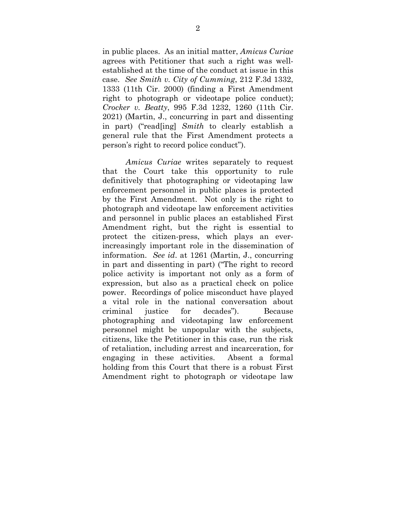in public places. As an initial matter, *Amicus Curiae* agrees with Petitioner that such a right was wellestablished at the time of the conduct at issue in this case. *See Smith v. City of Cumming*, 212 F.3d 1332, 1333 (11th Cir. 2000) (finding a First Amendment right to photograph or videotape police conduct); *Crocker v. Beatty*, 995 F.3d 1232, 1260 (11th Cir. 2021) (Martin, J., concurring in part and dissenting in part) ("read[ing] *Smith* to clearly establish a general rule that the First Amendment protects a person's right to record police conduct").

*Amicus Curiae* writes separately to request that the Court take this opportunity to rule definitively that photographing or videotaping law enforcement personnel in public places is protected by the First Amendment. Not only is the right to photograph and videotape law enforcement activities and personnel in public places an established First Amendment right, but the right is essential to protect the citizen-press, which plays an everincreasingly important role in the dissemination of information. *See id*. at 1261 (Martin, J., concurring in part and dissenting in part) ("The right to record police activity is important not only as a form of expression, but also as a practical check on police power. Recordings of police misconduct have played a vital role in the national conversation about criminal justice for decades"). Because photographing and videotaping law enforcement personnel might be unpopular with the subjects, citizens, like the Petitioner in this case, run the risk of retaliation, including arrest and incarceration, for engaging in these activities. Absent a formal holding from this Court that there is a robust First Amendment right to photograph or videotape law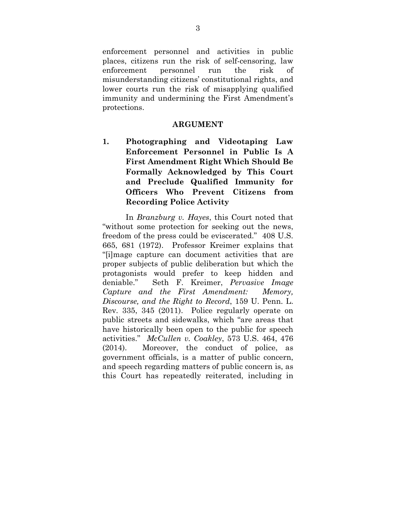enforcement personnel and activities in public places, citizens run the risk of self-censoring, law enforcement personnel run the risk of misunderstanding citizens' constitutional rights, and lower courts run the risk of misapplying qualified immunity and undermining the First Amendment's protections.

### **ARGUMENT**

**1. Photographing and Videotaping Law Enforcement Personnel in Public Is A First Amendment Right Which Should Be Formally Acknowledged by This Court and Preclude Qualified Immunity for Officers Who Prevent Citizens from Recording Police Activity** 

In *Branzburg v. Hayes*, this Court noted that "without some protection for seeking out the news, freedom of the press could be eviscerated." 408 U.S. 665, 681 (1972). Professor Kreimer explains that "[i]mage capture can document activities that are proper subjects of public deliberation but which the protagonists would prefer to keep hidden and deniable." Seth F. Kreimer, *Pervasive Image Capture and the First Amendment: Memory, Discourse, and the Right to Record*, 159 U. Penn. L. Rev. 335, 345 (2011). Police regularly operate on public streets and sidewalks, which "are areas that have historically been open to the public for speech activities." *McCullen v. Coakley*, 573 U.S. 464, 476 (2014). Moreover, the conduct of police, as government officials, is a matter of public concern, and speech regarding matters of public concern is, as this Court has repeatedly reiterated, including in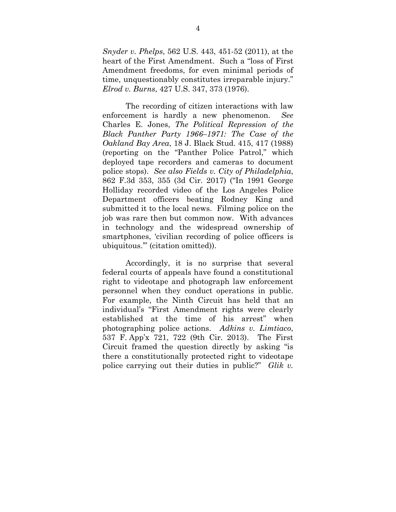*Snyder v. Phelps*, 562 U.S. 443, 451-52 (2011), at the heart of the First Amendment. Such a "loss of First Amendment freedoms, for even minimal periods of time, unquestionably constitutes irreparable injury." *Elrod v. Burns*, 427 U.S. 347, 373 (1976).

The recording of citizen interactions with law enforcement is hardly a new phenomenon. *See* Charles E. Jones, *The Political Repression of the Black Panther Party 1966–1971: The Case of the Oakland Bay Area*, 18 J. Black Stud. 415, 417 (1988) (reporting on the "Panther Police Patrol," which deployed tape recorders and cameras to document police stops). *See also Fields v. City of Philadelphia*, 862 F.3d 353, 355 (3d Cir. 2017) ("In 1991 George Holliday recorded video of the Los Angeles Police Department officers beating Rodney King and submitted it to the local news. Filming police on the job was rare then but common now. With advances in technology and the widespread ownership of smartphones, 'civilian recording of police officers is ubiquitous.'" (citation omitted)).

Accordingly, it is no surprise that several federal courts of appeals have found a constitutional right to videotape and photograph law enforcement personnel when they conduct operations in public. For example, the Ninth Circuit has held that an individual's "First Amendment rights were clearly established at the time of his arrest" when photographing police actions. *Adkins v. Limtiaco*, 537 F. App'x 721, 722 (9th Cir. 2013). The First Circuit framed the question directly by asking "is there a constitutionally protected right to videotape police carrying out their duties in public?" *Glik v.*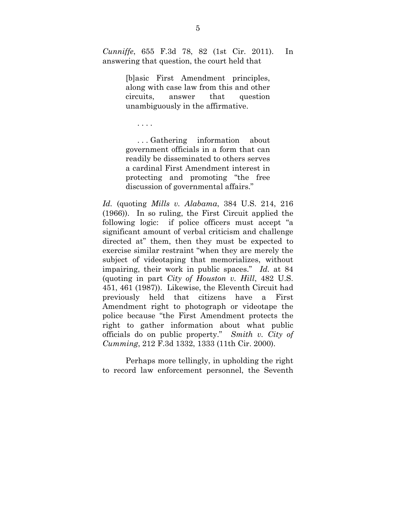*Cunniffe*, 655 F.3d 78, 82 (1st Cir. 2011). In answering that question, the court held that

> [b]asic First Amendment principles, along with case law from this and other circuits, answer that question unambiguously in the affirmative.

. . . .

 . . . Gathering information about government officials in a form that can readily be disseminated to others serves a cardinal First Amendment interest in protecting and promoting "the free discussion of governmental affairs."

*Id.* (quoting *Mills v. Alabama*, 384 U.S. 214, 216 (1966)). In so ruling, the First Circuit applied the following logic: if police officers must accept "a significant amount of verbal criticism and challenge directed at" them, then they must be expected to exercise similar restraint "when they are merely the subject of videotaping that memorializes, without impairing, their work in public spaces." *Id.* at 84 (quoting in part *City of Houston v. Hill*, 482 U.S. 451, 461 (1987)). Likewise, the Eleventh Circuit had previously held that citizens have a First Amendment right to photograph or videotape the police because "the First Amendment protects the right to gather information about what public officials do on public property." *Smith v. City of Cumming*, 212 F.3d 1332, 1333 (11th Cir. 2000).

Perhaps more tellingly, in upholding the right to record law enforcement personnel, the Seventh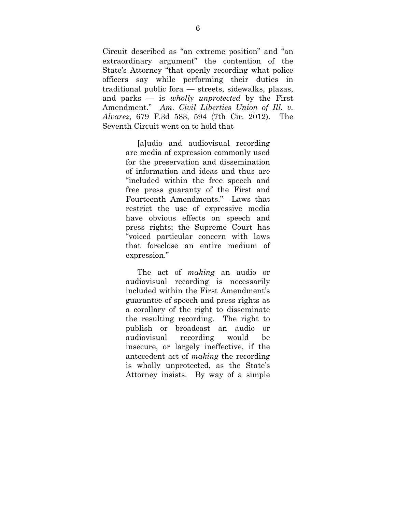Circuit described as "an extreme position" and "an extraordinary argument" the contention of the State's Attorney "that openly recording what police officers say while performing their duties in traditional public fora — streets, sidewalks, plazas, and parks — is *wholly unprotected* by the First Amendment." *Am. Civil Liberties Union of Ill. v. Alvarez*, 679 F.3d 583, 594 (7th Cir. 2012). The Seventh Circuit went on to hold that

> [a]udio and audiovisual recording are media of expression commonly used for the preservation and dissemination of information and ideas and thus are "included within the free speech and free press guaranty of the First and Fourteenth Amendments." Laws that restrict the use of expressive media have obvious effects on speech and press rights; the Supreme Court has "voiced particular concern with laws that foreclose an entire medium of expression."

> The act of *making* an audio or audiovisual recording is necessarily included within the First Amendment's guarantee of speech and press rights as a corollary of the right to disseminate the resulting recording. The right to publish or broadcast an audio or audiovisual recording would be insecure, or largely ineffective, if the antecedent act of *making* the recording is wholly unprotected, as the State's Attorney insists. By way of a simple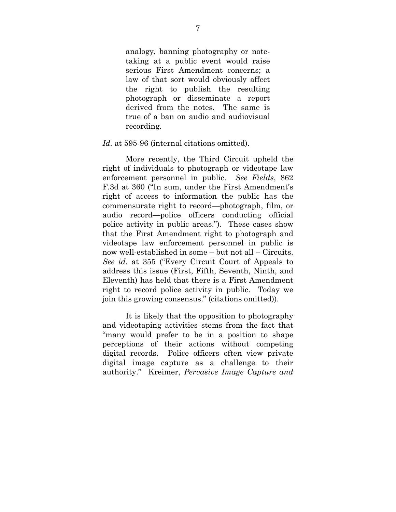analogy, banning photography or notetaking at a public event would raise serious First Amendment concerns; a law of that sort would obviously affect the right to publish the resulting photograph or disseminate a report derived from the notes. The same is true of a ban on audio and audiovisual recording.

#### Id. at 595-96 (internal citations omitted).

More recently, the Third Circuit upheld the right of individuals to photograph or videotape law enforcement personnel in public. *See Fields*, 862 F.3d at 360 ("In sum, under the First Amendment's right of access to information the public has the commensurate right to record—photograph, film, or audio record—police officers conducting official police activity in public areas."). These cases show that the First Amendment right to photograph and videotape law enforcement personnel in public is now well-established in some – but not all – Circuits. *See id.* at 355 ("Every Circuit Court of Appeals to address this issue (First, Fifth, Seventh, Ninth, and Eleventh) has held that there is a First Amendment right to record police activity in public. Today we join this growing consensus." (citations omitted)).

It is likely that the opposition to photography and videotaping activities stems from the fact that "many would prefer to be in a position to shape perceptions of their actions without competing digital records. Police officers often view private digital image capture as a challenge to their authority." Kreimer, *Pervasive Image Capture and*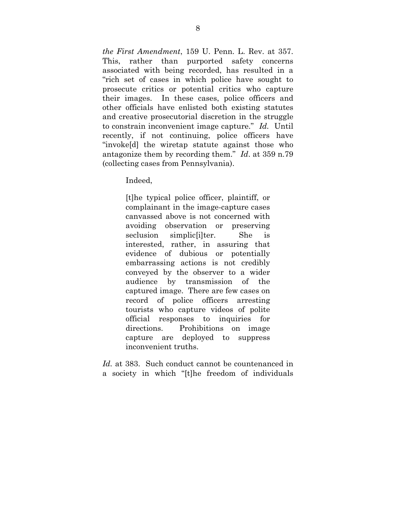*the First Amendment*, 159 U. Penn. L. Rev. at 357. This, rather than purported safety concerns associated with being recorded, has resulted in a "rich set of cases in which police have sought to prosecute critics or potential critics who capture their images. In these cases, police officers and other officials have enlisted both existing statutes and creative prosecutorial discretion in the struggle to constrain inconvenient image capture." *Id.* Until recently, if not continuing, police officers have "invoke[d] the wiretap statute against those who antagonize them by recording them." *Id*. at 359 n.79 (collecting cases from Pennsylvania).

Indeed,

[t]he typical police officer, plaintiff, or complainant in the image-capture cases canvassed above is not concerned with avoiding observation or preserving seclusion simplic [i]ter. She is interested, rather, in assuring that evidence of dubious or potentially embarrassing actions is not credibly conveyed by the observer to a wider audience by transmission of the captured image. There are few cases on record of police officers arresting tourists who capture videos of polite official responses to inquiries for directions. Prohibitions on image capture are deployed to suppress inconvenient truths.

*Id.* at 383. Such conduct cannot be countenanced in a society in which "[t]he freedom of individuals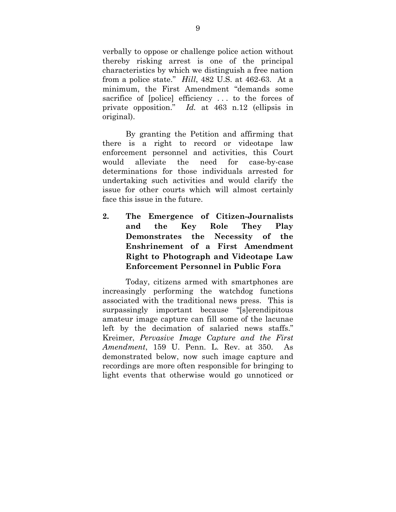verbally to oppose or challenge police action without thereby risking arrest is one of the principal characteristics by which we distinguish a free nation from a police state." *Hill*, 482 U.S. at 462-63. At a minimum, the First Amendment "demands some sacrifice of [police] efficiency . . . to the forces of private opposition." *Id.* at 463 n.12 (ellipsis in original).

By granting the Petition and affirming that there is a right to record or videotape law enforcement personnel and activities, this Court would alleviate the need for case-by-case determinations for those individuals arrested for undertaking such activities and would clarify the issue for other courts which will almost certainly face this issue in the future.

**2. The Emergence of Citizen-Journalists and the Key Role They Play Demonstrates the Necessity of the Enshrinement of a First Amendment Right to Photograph and Videotape Law Enforcement Personnel in Public Fora** 

Today, citizens armed with smartphones are increasingly performing the watchdog functions associated with the traditional news press. This is surpassingly important because "[s]erendipitous amateur image capture can fill some of the lacunae left by the decimation of salaried news staffs." Kreimer, *Pervasive Image Capture and the First Amendment*, 159 U. Penn. L. Rev. at 350. As demonstrated below, now such image capture and recordings are more often responsible for bringing to light events that otherwise would go unnoticed or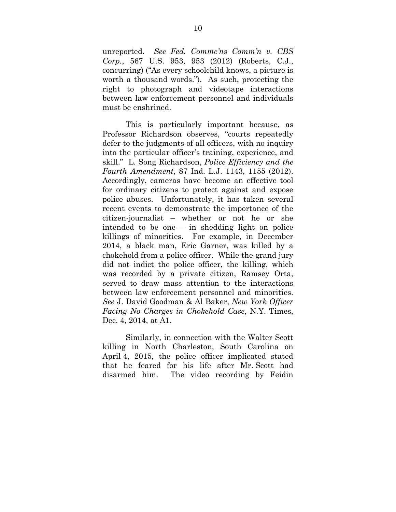unreported. *See Fed. Commc'ns Comm'n v. CBS Corp.*, 567 U.S. 953, 953 (2012) (Roberts, C.J., concurring) ("As every schoolchild knows, a picture is worth a thousand words."). As such, protecting the right to photograph and videotape interactions between law enforcement personnel and individuals must be enshrined.

This is particularly important because, as Professor Richardson observes, "courts repeatedly defer to the judgments of all officers, with no inquiry into the particular officer's training, experience, and skill." L. Song Richardson, *Police Efficiency and the Fourth Amendment*, 87 Ind. L.J. 1143, 1155 (2012). Accordingly, cameras have become an effective tool for ordinary citizens to protect against and expose police abuses. Unfortunately, it has taken several recent events to demonstrate the importance of the citizen-journalist – whether or not he or she intended to be one – in shedding light on police killings of minorities. For example, in December 2014, a black man, Eric Garner, was killed by a chokehold from a police officer. While the grand jury did not indict the police officer, the killing, which was recorded by a private citizen, Ramsey Orta, served to draw mass attention to the interactions between law enforcement personnel and minorities. *See* J. David Goodman & Al Baker, *New York Officer Facing No Charges in Chokehold Case*, N.Y. Times, Dec. 4, 2014, at A1.

Similarly, in connection with the Walter Scott killing in North Charleston, South Carolina on April 4, 2015, the police officer implicated stated that he feared for his life after Mr. Scott had disarmed him. The video recording by Feidin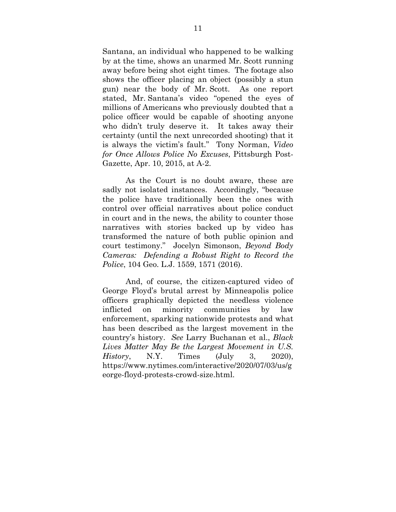Santana, an individual who happened to be walking by at the time, shows an unarmed Mr. Scott running away before being shot eight times. The footage also shows the officer placing an object (possibly a stun gun) near the body of Mr. Scott. As one report stated, Mr. Santana's video "opened the eyes of millions of Americans who previously doubted that a police officer would be capable of shooting anyone who didn't truly deserve it. It takes away their certainty (until the next unrecorded shooting) that it is always the victim's fault." Tony Norman, *Video for Once Allows Police No Excuses*, Pittsburgh Post-Gazette, Apr. 10, 2015, at A-2.

As the Court is no doubt aware, these are sadly not isolated instances. Accordingly, "because the police have traditionally been the ones with control over official narratives about police conduct in court and in the news, the ability to counter those narratives with stories backed up by video has transformed the nature of both public opinion and court testimony." Jocelyn Simonson, *Beyond Body Cameras: Defending a Robust Right to Record the Police*, 104 Geo. L.J. 1559, 1571 (2016).

And, of course, the citizen-captured video of George Floyd's brutal arrest by Minneapolis police officers graphically depicted the needless violence inflicted on minority communities by law enforcement, sparking nationwide protests and what has been described as the largest movement in the country's history. *See* Larry Buchanan et al., *Black Lives Matter May Be the Largest Movement in U.S. History*, N.Y. Times (July 3, 2020), https://www.nytimes.com/interactive/2020/07/03/us/g eorge-floyd-protests-crowd-size.html.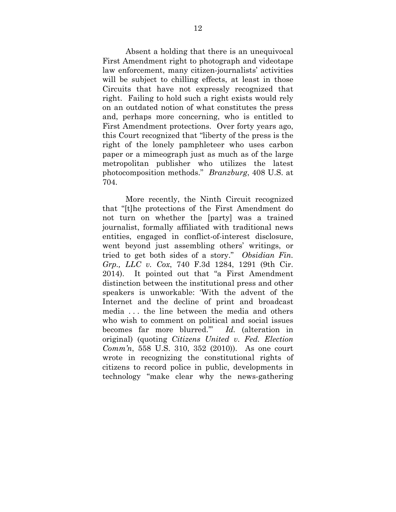Absent a holding that there is an unequivocal First Amendment right to photograph and videotape law enforcement, many citizen-journalists' activities will be subject to chilling effects, at least in those Circuits that have not expressly recognized that right. Failing to hold such a right exists would rely on an outdated notion of what constitutes the press and, perhaps more concerning, who is entitled to First Amendment protections. Over forty years ago, this Court recognized that "liberty of the press is the right of the lonely pamphleteer who uses carbon paper or a mimeograph just as much as of the large metropolitan publisher who utilizes the latest photocomposition methods." *Branzburg*, 408 U.S. at 704.

More recently, the Ninth Circuit recognized that "[t]he protections of the First Amendment do not turn on whether the [party] was a trained journalist, formally affiliated with traditional news entities, engaged in conflict-of-interest disclosure, went beyond just assembling others' writings, or tried to get both sides of a story." *Obsidian Fin. Grp., LLC v. Cox*, 740 F.3d 1284, 1291 (9th Cir. 2014). It pointed out that "a First Amendment distinction between the institutional press and other speakers is unworkable: 'With the advent of the Internet and the decline of print and broadcast media . . . the line between the media and others who wish to comment on political and social issues becomes far more blurred.'" *Id.* (alteration in original) (quoting *Citizens United v. Fed. Election Comm'n*, 558 U.S. 310, 352 (2010)). As one court wrote in recognizing the constitutional rights of citizens to record police in public, developments in technology "make clear why the news-gathering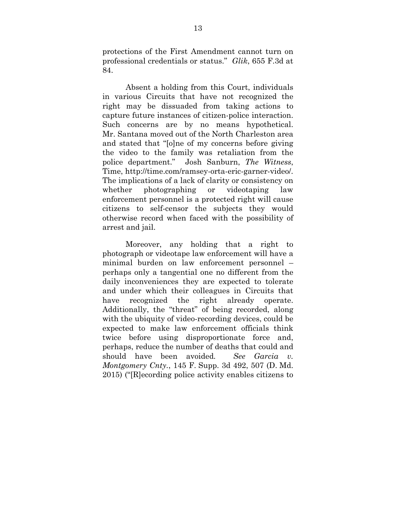protections of the First Amendment cannot turn on professional credentials or status." *Glik*, 655 F.3d at 84.

Absent a holding from this Court, individuals in various Circuits that have not recognized the right may be dissuaded from taking actions to capture future instances of citizen-police interaction. Such concerns are by no means hypothetical. Mr. Santana moved out of the North Charleston area and stated that "[o]ne of my concerns before giving the video to the family was retaliation from the police department." Josh Sanburn, *The Witness*, Time, http://time.com/ramsey-orta-eric-garner-video/. The implications of a lack of clarity or consistency on whether photographing or videotaping law enforcement personnel is a protected right will cause citizens to self-censor the subjects they would otherwise record when faced with the possibility of arrest and jail.

Moreover, any holding that a right to photograph or videotape law enforcement will have a minimal burden on law enforcement personnel – perhaps only a tangential one no different from the daily inconveniences they are expected to tolerate and under which their colleagues in Circuits that have recognized the right already operate. Additionally, the "threat" of being recorded, along with the ubiquity of video-recording devices, could be expected to make law enforcement officials think twice before using disproportionate force and, perhaps, reduce the number of deaths that could and should have been avoided*. See Garcia v. Montgomery Cnty.*, 145 F. Supp. 3d 492, 507 (D. Md. 2015) ("[R]ecording police activity enables citizens to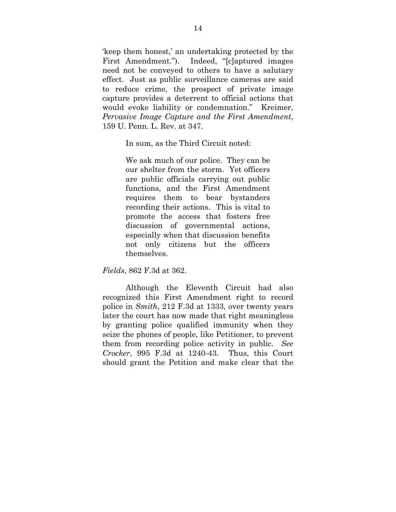'keep them honest,' an undertaking protected by the First Amendment."). Indeed, "[c]aptured images need not be conveyed to others to have a salutary effect. Just as public surveillance cameras are said to reduce crime, the prospect of private image capture provides a deterrent to official actions that would evoke liability or condemnation." Kreimer, *Pervasive Image Capture and the First Amendment*, 159 U. Penn. L. Rev. at 347.

In sum, as the Third Circuit noted:

We ask much of our police. They can be our shelter from the storm. Yet officers are public officials carrying out public functions, and the First Amendment requires them to bear bystanders recording their actions. This is vital to promote the access that fosters free discussion of governmental actions, especially when that discussion benefits not only citizens but the officers themselves.

*Fields*, 862 F.3d at 362.

Although the Eleventh Circuit had also recognized this First Amendment right to record police in *Smith*, 212 F.3d at 1333, over twenty years later the court has now made that right meaningless by granting police qualified immunity when they seize the phones of people, like Petitioner, to prevent them from recording police activity in public. *See Crocker*, 995 F.3d at 1240-43. Thus, this Court should grant the Petition and make clear that the